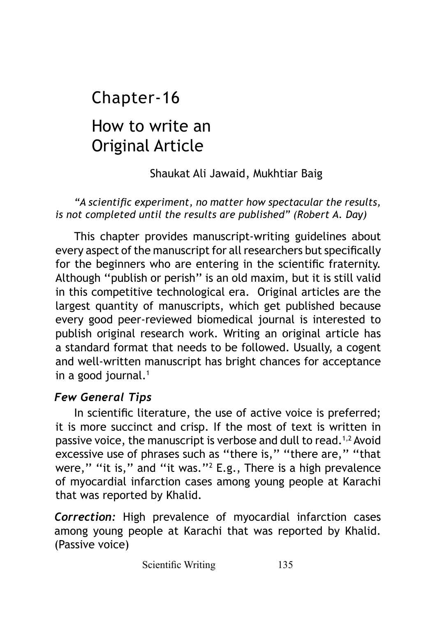# How to write an Original Article Chapter-16

## Shaukat Ali Jawaid, Mukhtiar Baig

#### *"A scientific experiment, no matter how spectacular the results, is not completed until the results are published" (Robert A. Day)*

This chapter provides manuscript-writing guidelines about every aspect of the manuscript for all researchers but specifically for the beginners who are entering in the scientific fraternity. Although ''publish or perish'' is an old maxim, but it is still valid in this competitive technological era. Original articles are the largest quantity of manuscripts, which get published because every good peer-reviewed biomedical journal is interested to publish original research work. Writing an original article has a standard format that needs to be followed. Usually, a cogent and well-written manuscript has bright chances for acceptance in a good journal.<sup>1</sup>

## *Few General Tips*

In scientific literature, the use of active voice is preferred; it is more succinct and crisp. If the most of text is written in passive voice, the manuscript is verbose and dull to read.<sup>1,2</sup> Avoid excessive use of phrases such as "there is," "there are," "that were," "it is," and "it was."<sup>2</sup> E.g., There is a high prevalence of myocardial infarction cases among young people at Karachi that was reported by Khalid.

*Correction:* High prevalence of myocardial infarction cases among young people at Karachi that was reported by Khalid. (Passive voice)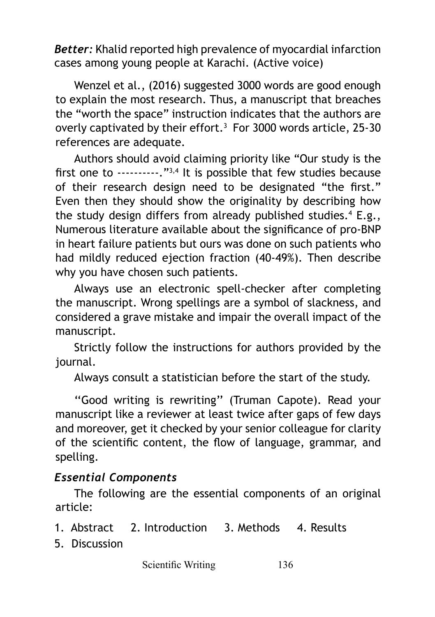*Better:* Khalid reported high prevalence of myocardial infarction cases among young people at Karachi. (Active voice)

Wenzel et al., (2016) suggested 3000 words are good enough to explain the most research. Thus, a manuscript that breaches the "worth the space" instruction indicates that the authors are overly captivated by their effort.3 For 3000 words article, 25-30 references are adequate.

Authors should avoid claiming priority like "Our study is the first one to ----------."3,4 It is possible that few studies because of their research design need to be designated "the first." Even then they should show the originality by describing how the study design differs from already published studies.4 E.g., Numerous literature available about the significance of pro-BNP in heart failure patients but ours was done on such patients who had mildly reduced ejection fraction (40-49%). Then describe why you have chosen such patients.

Always use an electronic spell-checker after completing the manuscript. Wrong spellings are a symbol of slackness, and considered a grave mistake and impair the overall impact of the manuscript.

Strictly follow the instructions for authors provided by the journal.

Always consult a statistician before the start of the study.

''Good writing is rewriting'' (Truman Capote). Read your manuscript like a reviewer at least twice after gaps of few days and moreover, get it checked by your senior colleague for clarity of the scientific content, the flow of language, grammar, and spelling.

#### *Essential Components*

The following are the essential components of an original article:

- 1. Abstract 2. Introduction 3. Methods 4. Results
- 5. Discussion

Scientific Writing 136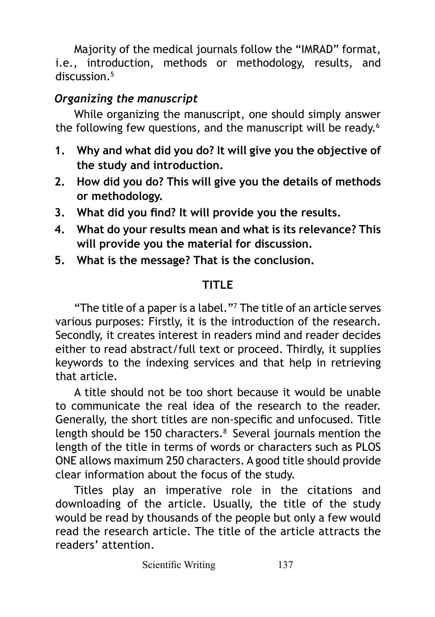Majority of the medical journals follow the "IMRAD" format, i.e., introduction, methods or methodology, results, and discussion.<sup>5</sup>

# *Organizing the manuscript*

While organizing the manuscript, one should simply answer the following few questions, and the manuscript will be ready.<sup>6</sup>

- **1. Why and what did you do? It will give you the objective of the study and introduction.**
- **2. How did you do? This will give you the details of methods or methodology.**
- **3. What did you find? It will provide you the results.**
- **4. What do your results mean and what is its relevance? This will provide you the material for discussion.**
- **5. What is the message? That is the conclusion.**

# **TITLE**

"The title of a paper is a label."7 The title of an article serves various purposes: Firstly, it is the introduction of the research. Secondly, it creates interest in readers mind and reader decides either to read abstract/full text or proceed. Thirdly, it supplies keywords to the indexing services and that help in retrieving that article.

A title should not be too short because it would be unable to communicate the real idea of the research to the reader. Generally, the short titles are non-specific and unfocused. Title length should be 150 characters.<sup>8</sup> Several journals mention the length of the title in terms of words or characters such as PLOS ONE allows maximum 250 characters. A good title should provide clear information about the focus of the study.

Titles play an imperative role in the citations and downloading of the article. Usually, the title of the study would be read by thousands of the people but only a few would read the research article. The title of the article attracts the readers' attention.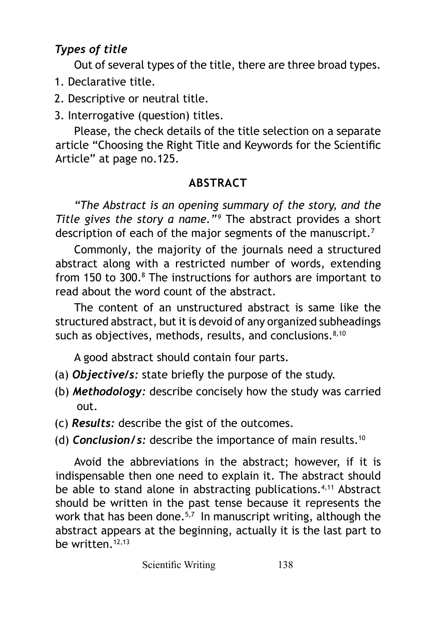## *Types of title*

Out of several types of the title, there are three broad types.

- 1. Declarative title.
- 2. Descriptive or neutral title.
- 3. Interrogative (question) titles.

Please, the check details of the title selection on a separate article "Choosing the Right Title and Keywords for the Scientific Article" at page no.125.

## **ABSTRACT**

*"The Abstract is an opening summary of the story, and the Title gives the story a name."<sup>9</sup>* The abstract provides a short description of each of the major segments of the manuscript.<sup>7</sup>

Commonly, the majority of the journals need a structured abstract along with a restricted number of words, extending from 150 to 300.<sup>8</sup> The instructions for authors are important to read about the word count of the abstract.

The content of an unstructured abstract is same like the structured abstract, but it is devoid of any organized subheadings such as objectives, methods, results, and conclusions. $8,10$ 

A good abstract should contain four parts.

- (a) *Objective/s:* state briefly the purpose of the study.
- (b) *Methodology:* describe concisely how the study was carried out.
- (c) *Results:* describe the gist of the outcomes.
- (d) *Conclusion/s:* describe the importance of main results.10

Avoid the abbreviations in the abstract; however, if it is indispensable then one need to explain it. The abstract should be able to stand alone in abstracting publications.<sup>4,11</sup> Abstract should be written in the past tense because it represents the work that has been done.<sup>5,7</sup> In manuscript writing, although the abstract appears at the beginning, actually it is the last part to be written  $12,13$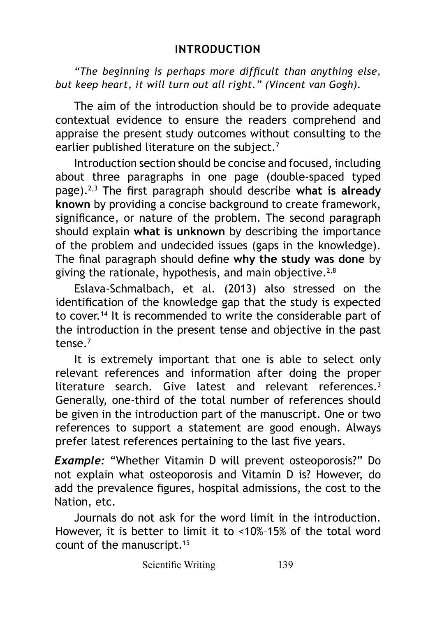*"The beginning is perhaps more difficult than anything else, but keep heart, it will turn out all right." (Vincent van Gogh).* 

The aim of the introduction should be to provide adequate contextual evidence to ensure the readers comprehend and appraise the present study outcomes without consulting to the earlier published literature on the subject.<sup>7</sup>

Introduction section should be concise and focused, including about three paragraphs in one page (double-spaced typed page).2,3 The first paragraph should describe **what is already known** by providing a concise background to create framework, significance, or nature of the problem. The second paragraph should explain **what is unknown** by describing the importance of the problem and undecided issues (gaps in the knowledge). The final paragraph should define **why the study was done** by giving the rationale, hypothesis, and main objective.<sup>2,8</sup>

Eslava-Schmalbach, et al. (2013) also stressed on the identification of the knowledge gap that the study is expected to cover.<sup>14</sup> It is recommended to write the considerable part of the introduction in the present tense and objective in the past tense $<sup>7</sup>$ </sup>

It is extremely important that one is able to select only relevant references and information after doing the proper literature search. Give latest and relevant references.<sup>3</sup> Generally, one-third of the total number of references should be given in the introduction part of the manuscript. One or two references to support a statement are good enough. Always prefer latest references pertaining to the last five years.

*Example:* "Whether Vitamin D will prevent osteoporosis?" Do not explain what osteoporosis and Vitamin D is? However, do add the prevalence figures, hospital admissions, the cost to the Nation, etc.

Journals do not ask for the word limit in the introduction. However, it is better to limit it to <10%–15% of the total word count of the manuscript.15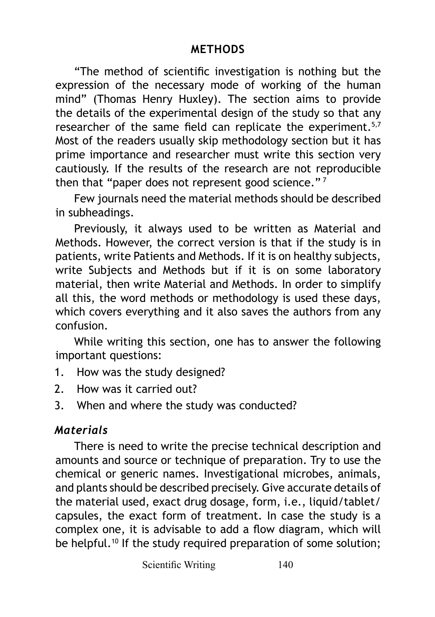#### **METHODS**

"The method of scientific investigation is nothing but the expression of the necessary mode of working of the human mind" (Thomas Henry Huxley). The section aims to provide the details of the experimental design of the study so that any researcher of the same field can replicate the experiment.<sup>5,7</sup> Most of the readers usually skip methodology section but it has prime importance and researcher must write this section very cautiously. If the results of the research are not reproducible then that "paper does not represent good science."<sup>7</sup>

Few journals need the material methods should be described in subheadings.

Previously, it always used to be written as Material and Methods. However, the correct version is that if the study is in patients, write Patients and Methods. If it is on healthy subjects, write Subjects and Methods but if it is on some laboratory material, then write Material and Methods. In order to simplify all this, the word methods or methodology is used these days, which covers everything and it also saves the authors from any confusion.

While writing this section, one has to answer the following important questions:

- 1. How was the study designed?
- 2. How was it carried out?
- 3. When and where the study was conducted?

#### *Materials*

There is need to write the precise technical description and amounts and source or technique of preparation. Try to use the chemical or generic names. Investigational microbes, animals, and plants should be described precisely. Give accurate details of the material used, exact drug dosage, form, i.e., liquid/tablet/ capsules, the exact form of treatment. In case the study is a complex one, it is advisable to add a flow diagram, which will be helpful.<sup>10</sup> If the study required preparation of some solution;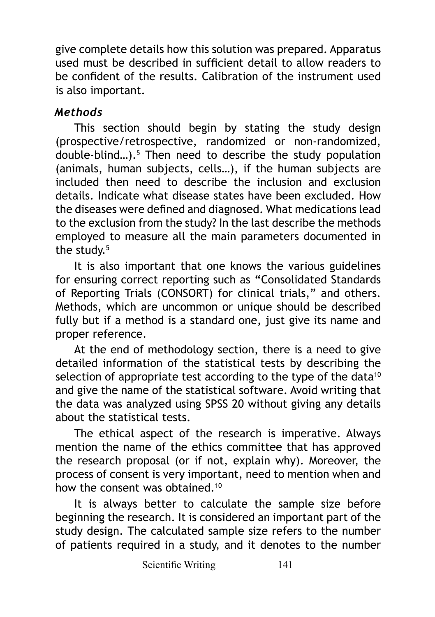give complete details how this solution was prepared. Apparatus used must be described in sufficient detail to allow readers to be confident of the results. Calibration of the instrument used is also important.

## *Methods*

This section should begin by stating the study design (prospective/retrospective, randomized or non-randomized, double-blind…).5 Then need to describe the study population (animals, human subjects, cells…), if the human subjects are included then need to describe the inclusion and exclusion details. Indicate what disease states have been excluded. How the diseases were defined and diagnosed. What medications lead to the exclusion from the study? In the last describe the methods employed to measure all the main parameters documented in the study. $5$ 

It is also important that one knows the various guidelines for ensuring correct reporting such as **"**Consolidated Standards of Reporting Trials (CONSORT) for clinical trials," and others. Methods, which are uncommon or unique should be described fully but if a method is a standard one, just give its name and proper reference.

At the end of methodology section, there is a need to give detailed information of the statistical tests by describing the selection of appropriate test according to the type of the data $10$ and give the name of the statistical software. Avoid writing that the data was analyzed using SPSS 20 without giving any details about the statistical tests.

The ethical aspect of the research is imperative. Always mention the name of the ethics committee that has approved the research proposal (or if not, explain why). Moreover, the process of consent is very important, need to mention when and how the consent was obtained.<sup>10</sup>

It is always better to calculate the sample size before beginning the research. It is considered an important part of the study design. The calculated sample size refers to the number of patients required in a study, and it denotes to the number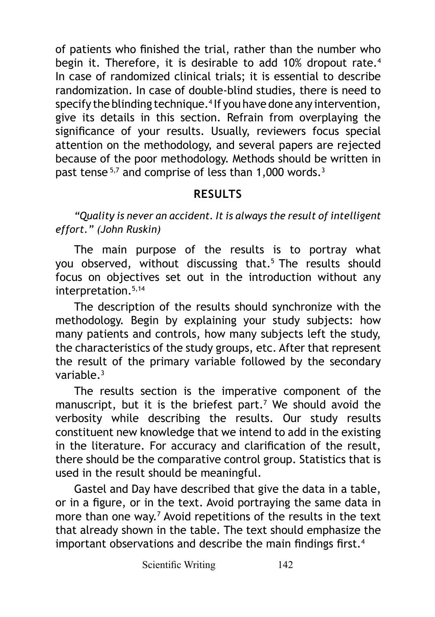of patients who finished the trial, rather than the number who begin it. Therefore, it is desirable to add 10% dropout rate.<sup>4</sup> In case of randomized clinical trials; it is essential to describe randomization. In case of double-blind studies, there is need to specify the blinding technique.4 If you have done any intervention, give its details in this section. Refrain from overplaying the significance of your results. Usually, reviewers focus special attention on the methodology, and several papers are rejected because of the poor methodology. Methods should be written in past tense  $5,7$  and comprise of less than 1,000 words.<sup>3</sup>

## **RESULTS**

#### *"Quality is never an accident. It is always the result of intelligent effort." (John Ruskin)*

The main purpose of the results is to portray what you observed, without discussing that.<sup>5</sup> The results should focus on objectives set out in the introduction without any interpretation.5,14

The description of the results should synchronize with the methodology. Begin by explaining your study subjects: how many patients and controls, how many subjects left the study, the characteristics of the study groups, etc. After that represent the result of the primary variable followed by the secondary variable.3

The results section is the imperative component of the manuscript, but it is the briefest part.<sup>7</sup> We should avoid the verbosity while describing the results. Our study results constituent new knowledge that we intend to add in the existing in the literature. For accuracy and clarification of the result, there should be the comparative control group. Statistics that is used in the result should be meaningful.

Gastel and Day have described that give the data in a table, or in a figure, or in the text. Avoid portraying the same data in more than one way.<sup>7</sup> Avoid repetitions of the results in the text that already shown in the table. The text should emphasize the important observations and describe the main findings first.<sup>4</sup>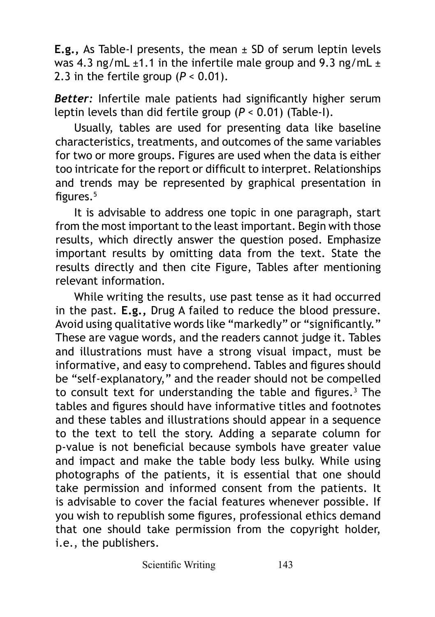**E.g.,** As Table-I presents, the mean ± SD of serum leptin levels was 4.3 ng/mL  $\pm$ 1.1 in the infertile male group and 9.3 ng/mL  $\pm$ 2.3 in the fertile group  $(P < 0.01)$ .

*Better:* Infertile male patients had significantly higher serum leptin levels than did fertile group (*P* < 0.01) (Table-I).

Usually, tables are used for presenting data like baseline characteristics, treatments, and outcomes of the same variables for two or more groups. Figures are used when the data is either too intricate for the report or difficult to interpret. Relationships and trends may be represented by graphical presentation in figures.5

It is advisable to address one topic in one paragraph, start from the most important to the least important. Begin with those results, which directly answer the question posed. Emphasize important results by omitting data from the text. State the results directly and then cite Figure, Tables after mentioning relevant information.

While writing the results, use past tense as it had occurred in the past. **E.g.,** Drug A failed to reduce the blood pressure. Avoid using qualitative words like "markedly" or "significantly." These are vague words, and the readers cannot judge it. Tables and illustrations must have a strong visual impact, must be informative, and easy to comprehend. Tables and figures should be "self-explanatory," and the reader should not be compelled to consult text for understanding the table and figures.<sup>3</sup> The tables and figures should have informative titles and footnotes and these tables and illustrations should appear in a sequence to the text to tell the story. Adding a separate column for p-value is not beneficial because symbols have greater value and impact and make the table body less bulky. While using photographs of the patients, it is essential that one should take permission and informed consent from the patients. It is advisable to cover the facial features whenever possible. If you wish to republish some figures, professional ethics demand that one should take permission from the copyright holder, i.e., the publishers.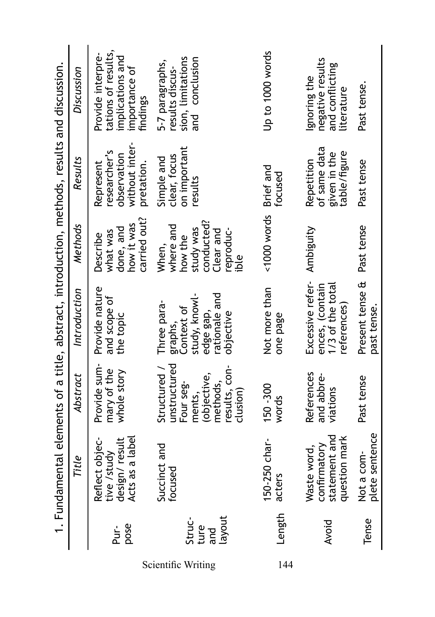|                                 |                                                                   |                                                                                                            | 1. Fundamental elements of a title, abstract, introduction, methods, results and discussion.     |                                                                                            |                                                                          |                                                                                           |
|---------------------------------|-------------------------------------------------------------------|------------------------------------------------------------------------------------------------------------|--------------------------------------------------------------------------------------------------|--------------------------------------------------------------------------------------------|--------------------------------------------------------------------------|-------------------------------------------------------------------------------------------|
|                                 | Title                                                             | Abstract                                                                                                   | Introduction                                                                                     | <b>Methods</b>                                                                             | <b>Results</b>                                                           | Discussion                                                                                |
| pose<br>Pur-                    | Acts as a label<br>design/result<br>Reflect objec-<br>tive /study | Provide sum<br>mary of the<br>whole story                                                                  | Provide nature<br>and scope of<br>the topic                                                      | carried out?<br>how it was<br>done, and<br>what was<br><b>Describe</b>                     | without inter-<br>researcher's<br>observation<br>pretation.<br>Represent | tations of results,<br>Provide interpre-<br>implications and<br>importance of<br>findings |
| layout<br>Struc-<br>ture<br>and | Succinct and<br>focused                                           | unstructured<br>results, con-<br>Structured /<br>(objective,<br>methods,<br>Four seg-<br>ments,<br>clusion | study, knowl-<br>rationale and<br>Three para-<br>Context of<br>edge gap,<br>objective<br>graphs, | conducted?<br>where and<br>study was<br>reproduc-<br>Clear and<br>how the<br>When,<br>ible | on important<br>clear, focus<br>Simple and<br>results                    | conclusion<br>sion, limitations<br>5-7 paragraphs,<br>results discus-<br>and              |
| Length                          | 150-250 char-<br>acters                                           | 150 - 300<br>words                                                                                         | Not more than<br>one page                                                                        | $<1000$ words                                                                              | Brief and<br>focused                                                     | Up to 1000 words                                                                          |
| Avoid                           | statement and<br>question mark<br>confirmatory<br>Waste word,     | References<br>and abbre-<br>viations                                                                       | Excessive refer-<br>ences, (contain<br>1/3 of the total<br>reterences                            | Ambiguity                                                                                  | of same data<br>table/figure<br>given in the<br>Repetition               | negative results<br>and conflicting<br>gnoring the<br>literature                          |
| Tense                           | plete sentence<br>Not a com-                                      | Past tense                                                                                                 | Present tense &<br>past tense                                                                    | Past tense                                                                                 | Past tense                                                               | Past tense                                                                                |

Scientific Writing 144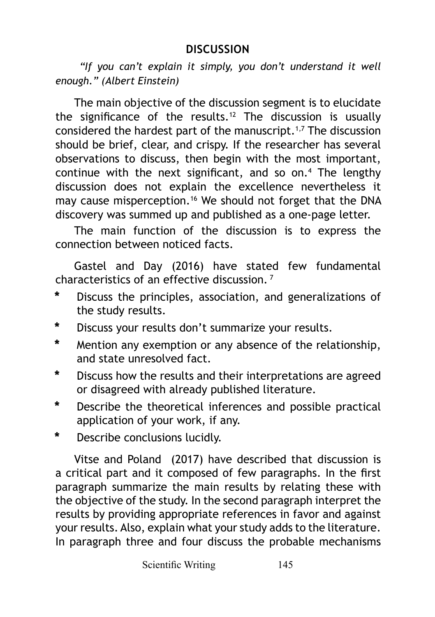*"If you can't explain it simply, you don't understand it well enough." (Albert Einstein)*

The main objective of the discussion segment is to elucidate the significance of the results.<sup>12</sup> The discussion is usually considered the hardest part of the manuscript.1,7 The discussion should be brief, clear, and crispy. If the researcher has several observations to discuss, then begin with the most important, continue with the next significant, and so on.4 The lengthy discussion does not explain the excellence nevertheless it may cause misperception.<sup>16</sup> We should not forget that the DNA discovery was summed up and published as a one-page letter.

The main function of the discussion is to express the connection between noticed facts.

Gastel and Day (2016) have stated few fundamental characteristics of an effective discussion.<sup>7</sup>

- **\*** Discuss the principles, association, and generalizations of the study results.
- **\*** Discuss your results don't summarize your results.
- **\*** Mention any exemption or any absence of the relationship, and state unresolved fact.
- **\*** Discuss how the results and their interpretations are agreed or disagreed with already published literature.
- **\*** Describe the theoretical inferences and possible practical application of your work, if any.
- **\*** Describe conclusions lucidly.

Vitse and Poland (2017) have described that discussion is a critical part and it composed of few paragraphs. In the first paragraph summarize the main results by relating these with the objective of the study. In the second paragraph interpret the results by providing appropriate references in favor and against your results. Also, explain what your study adds to the literature. In paragraph three and four discuss the probable mechanisms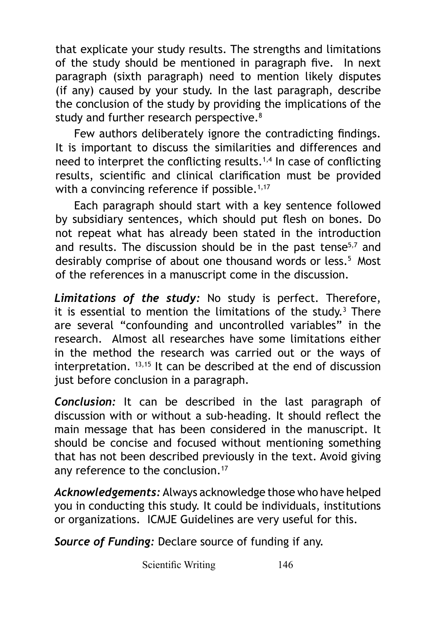that explicate your study results. The strengths and limitations of the study should be mentioned in paragraph five. In next paragraph (sixth paragraph) need to mention likely disputes (if any) caused by your study. In the last paragraph, describe the conclusion of the study by providing the implications of the study and further research perspective.<sup>8</sup>

Few authors deliberately ignore the contradicting findings. It is important to discuss the similarities and differences and need to interpret the conflicting results.<sup> $1,4$ </sup> In case of conflicting results, scientific and clinical clarification must be provided with a convincing reference if possible.<sup>1,17</sup>

Each paragraph should start with a key sentence followed by subsidiary sentences, which should put flesh on bones. Do not repeat what has already been stated in the introduction and results. The discussion should be in the past tense<sup>5,7</sup> and desirably comprise of about one thousand words or less.<sup>5</sup> Most of the references in a manuscript come in the discussion.

*Limitations of the study:* No study is perfect. Therefore, it is essential to mention the limitations of the study.<sup>3</sup> There are several "confounding and uncontrolled variables" in the research. Almost all researches have some limitations either in the method the research was carried out or the ways of interpretation. 13,15 It can be described at the end of discussion just before conclusion in a paragraph.

*Conclusion:* It can be described in the last paragraph of discussion with or without a sub-heading. It should reflect the main message that has been considered in the manuscript. It should be concise and focused without mentioning something that has not been described previously in the text. Avoid giving any reference to the conclusion.<sup>17</sup>

*Acknowledgements:* Always acknowledge those who have helped you in conducting this study. It could be individuals, institutions or organizations. ICMJE Guidelines are very useful for this.

*Source of Funding:* Declare source of funding if any.

Scientific Writing 146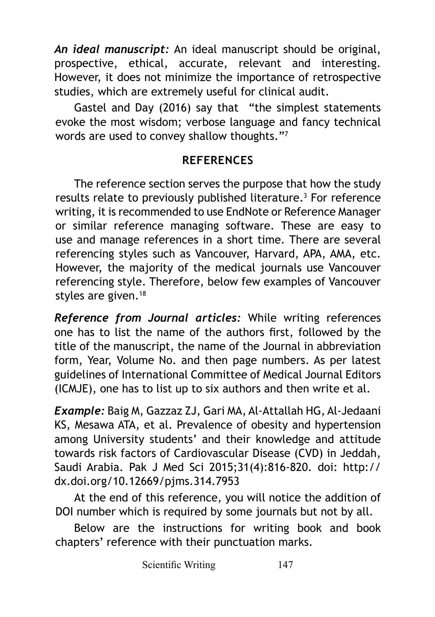*An ideal manuscript:* An ideal manuscript should be original, prospective, ethical, accurate, relevant and interesting. However, it does not minimize the importance of retrospective studies, which are extremely useful for clinical audit.

Gastel and Day (2016) say that "the simplest statements evoke the most wisdom; verbose language and fancy technical words are used to convey shallow thoughts."<sup>7</sup>

## **REFERENCES**

The reference section serves the purpose that how the study results relate to previously published literature.<sup>3</sup> For reference writing, it is recommended to use EndNote or Reference Manager or similar reference managing software. These are easy to use and manage references in a short time. There are several referencing styles such as Vancouver, Harvard, APA, AMA, etc. However, the majority of the medical journals use Vancouver referencing style. Therefore, below few examples of Vancouver styles are given.<sup>18</sup>

*Reference from Journal articles:* While writing references one has to list the name of the authors first, followed by the title of the manuscript, the name of the Journal in abbreviation form, Year, Volume No. and then page numbers. As per latest guidelines of International Committee of Medical Journal Editors (ICMJE), one has to list up to six authors and then write et al.

*Example:* Baig M, Gazzaz ZJ, Gari MA, Al-Attallah HG, Al-Jedaani KS, Mesawa ATA, et al. Prevalence of obesity and hypertension among University students' and their knowledge and attitude towards risk factors of Cardiovascular Disease (CVD) in Jeddah, Saudi Arabia. Pak J Med Sci 2015;31(4):816-820. doi: http:// dx.doi.org/10.12669/pjms.314.7953

At the end of this reference, you will notice the addition of DOI number which is required by some journals but not by all.

Below are the instructions for writing book and book chapters' reference with their punctuation marks.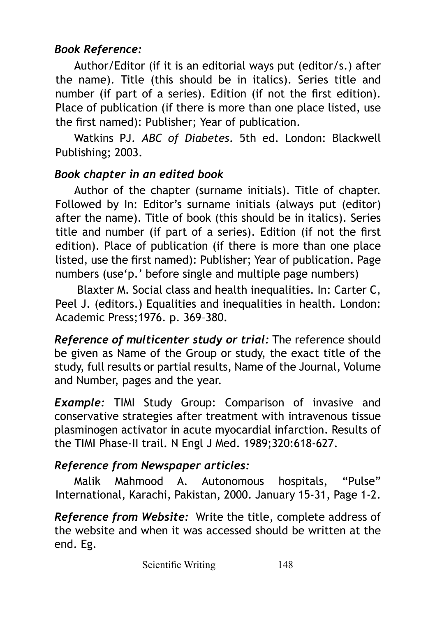# *Book Reference:*

Author/Editor (if it is an editorial ways put (editor/s.) after the name). Title (this should be in italics). Series title and number (if part of a series). Edition (if not the first edition). Place of publication (if there is more than one place listed, use the first named): Publisher; Year of publication.

Watkins PJ. *ABC of Diabetes*. 5th ed. London: Blackwell Publishing; 2003.

## *Book chapter in an edited book*

Author of the chapter (surname initials). Title of chapter. Followed by In: Editor's surname initials (always put (editor) after the name). Title of book (this should be in italics). Series title and number (if part of a series). Edition (if not the first edition). Place of publication (if there is more than one place listed, use the first named): Publisher; Year of publication. Page numbers (use'p.' before single and multiple page numbers)

 Blaxter M. Social class and health inequalities. In: Carter C, Peel J. (editors.) Equalities and inequalities in health. London: Academic Press;1976. p. 369–380.

*Reference of multicenter study or trial:* The reference should be given as Name of the Group or study, the exact title of the study, full results or partial results, Name of the Journal, Volume and Number, pages and the year.

*Example:* TIMI Study Group: Comparison of invasive and conservative strategies after treatment with intravenous tissue plasminogen activator in acute myocardial infarction. Results of the TIMI Phase-II trail. N Engl J Med. 1989;320:618-627.

## *Reference from Newspaper articles:*

Malik Mahmood A. Autonomous hospitals, "Pulse" International, Karachi, Pakistan, 2000. January 15-31, Page 1-2.

*Reference from Website:* Write the title, complete address of the website and when it was accessed should be written at the end. Eg.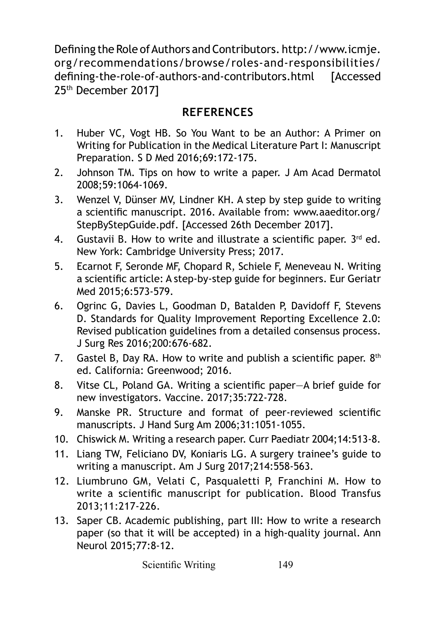Defining the Role of Authors and Contributors. http://www.icmje. org/recommendations/browse/roles-and-responsibilities/ defining-the-role-of-authors-and-contributors.html [Accessed 25th December 2017]

## **REFERENCES**

- 1. Huber VC, Vogt HB. So You Want to be an Author: A Primer on Writing for Publication in the Medical Literature Part I: Manuscript Preparation. S D Med 2016;69:172-175.
- 2. Johnson TM. Tips on how to write a paper. J Am Acad Dermatol 2008;59:1064-1069.
- 3. Wenzel V, Dünser MV, Lindner KH. A step by step guide to writing a scientific manuscript. 2016. Available from: [www.aaeditor.org/](http://www.aaeditor.org/Step) [Step](http://www.aaeditor.org/Step)ByStepGuide.pdf. [Accessed 26th December 2017].
- 4. Gustavii B. How to write and illustrate a scientific paper.  $3^{rd}$  ed. New York: Cambridge University Press; 2017.
- 5. Ecarnot F, Seronde MF, Chopard R, Schiele F, Meneveau N. Writing a scientific article: A step-by-step guide for beginners. Eur Geriatr Med 2015;6:573-579.
- 6. Ogrinc G, Davies L, Goodman D, Batalden P, Davidoff F, Stevens D. Standards for Quality Improvement Reporting Excellence 2.0: Revised publication guidelines from a detailed consensus process. J Surg Res 2016;200:676-682.
- 7. Gastel B, Day RA. How to write and publish a scientific paper.  $8<sup>th</sup>$ ed. California: Greenwood; 2016.
- 8. Vitse CL, Poland GA. Writing a scientific paper—A brief guide for new investigators. Vaccine. 2017;35:722-728.
- 9. Manske PR. Structure and format of peer-reviewed scientific manuscripts. J Hand Surg Am 2006;31:1051-1055.
- 10. Chiswick M. Writing a research paper. Curr Paediatr 2004;14:513-8.
- 11. Liang TW, Feliciano DV, Koniaris LG. A surgery trainee's guide to writing a manuscript. Am J Surg 2017;214:558-563.
- 12. Liumbruno GM, Velati C, Pasqualetti P, Franchini M. How to write a scientific manuscript for publication. Blood Transfus 2013;11:217-226.
- 13. Saper CB. Academic publishing, part III: How to write a research paper (so that it will be accepted) in a high-quality journal. Ann Neurol 2015;77:8-12.